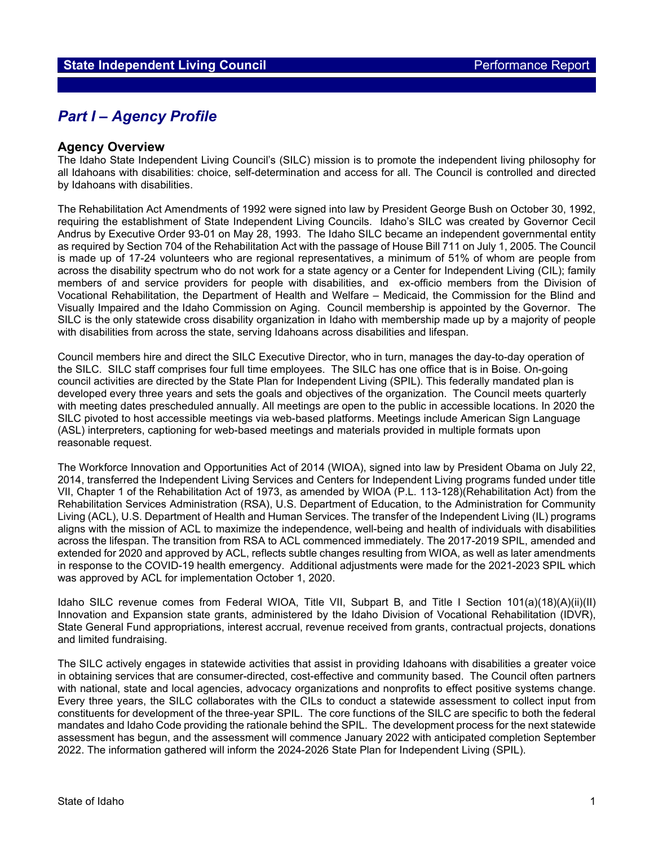# *Part I – Agency Profile*

## **Agency Overview**

The Idaho State Independent Living Council's (SILC) mission is to promote the independent living philosophy for all Idahoans with disabilities: choice, self-determination and access for all. The Council is controlled and directed by Idahoans with disabilities.

The Rehabilitation Act Amendments of 1992 were signed into law by President George Bush on October 30, 1992, requiring the establishment of State Independent Living Councils. Idaho's SILC was created by Governor Cecil Andrus by Executive Order 93-01 on May 28, 1993. The Idaho SILC became an independent governmental entity as required by Section 704 of the Rehabilitation Act with the passage of House Bill 711 on July 1, 2005. The Council is made up of 17-24 volunteers who are regional representatives, a minimum of 51% of whom are people from across the disability spectrum who do not work for a state agency or a Center for Independent Living (CIL); family members of and service providers for people with disabilities, and ex-officio members from the Division of Vocational Rehabilitation, the Department of Health and Welfare – Medicaid, the Commission for the Blind and Visually Impaired and the Idaho Commission on Aging. Council membership is appointed by the Governor. The SILC is the only statewide cross disability organization in Idaho with membership made up by a majority of people with disabilities from across the state, serving Idahoans across disabilities and lifespan.

Council members hire and direct the SILC Executive Director, who in turn, manages the day-to-day operation of the SILC. SILC staff comprises four full time employees. The SILC has one office that is in Boise. On-going council activities are directed by the State Plan for Independent Living (SPIL). This federally mandated plan is developed every three years and sets the goals and objectives of the organization. The Council meets quarterly with meeting dates prescheduled annually. All meetings are open to the public in accessible locations. In 2020 the SILC pivoted to host accessible meetings via web-based platforms. Meetings include American Sign Language (ASL) interpreters, captioning for web-based meetings and materials provided in multiple formats upon reasonable request.

The Workforce Innovation and Opportunities Act of 2014 (WIOA), signed into law by President Obama on July 22, 2014, transferred the Independent Living Services and Centers for Independent Living programs funded under title VII, Chapter 1 of the Rehabilitation Act of 1973, as amended by WIOA (P.L. 113-128)(Rehabilitation Act) from the Rehabilitation Services Administration (RSA), U.S. Department of Education, to the Administration for Community Living (ACL), U.S. Department of Health and Human Services. The transfer of the Independent Living (IL) programs aligns with the mission of ACL to maximize the independence, well-being and health of individuals with disabilities across the lifespan. The transition from RSA to ACL commenced immediately. The 2017-2019 SPIL, amended and extended for 2020 and approved by ACL, reflects subtle changes resulting from WIOA, as well as later amendments in response to the COVID-19 health emergency. Additional adjustments were made for the 2021-2023 SPIL which was approved by ACL for implementation October 1, 2020.

Idaho SILC revenue comes from Federal WIOA, Title VII, Subpart B, and Title I Section 101(a)(18)(A)(ii)(II) Innovation and Expansion state grants, administered by the Idaho Division of Vocational Rehabilitation (IDVR), State General Fund appropriations, interest accrual, revenue received from grants, contractual projects, donations and limited fundraising.

The SILC actively engages in statewide activities that assist in providing Idahoans with disabilities a greater voice in obtaining services that are consumer-directed, cost-effective and community based. The Council often partners with national, state and local agencies, advocacy organizations and nonprofits to effect positive systems change. Every three years, the SILC collaborates with the CILs to conduct a statewide assessment to collect input from constituents for development of the three-year SPIL. The core functions of the SILC are specific to both the federal mandates and Idaho Code providing the rationale behind the SPIL. The development process for the next statewide assessment has begun, and the assessment will commence January 2022 with anticipated completion September 2022. The information gathered will inform the 2024-2026 State Plan for Independent Living (SPIL).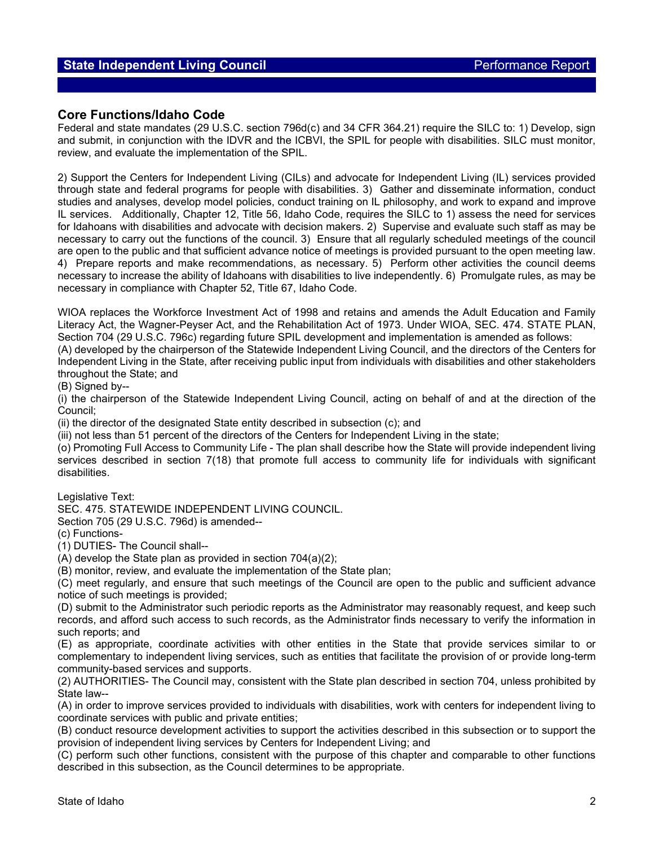## **Core Functions/Idaho Code**

Federal and state mandates (29 U.S.C. section 796d(c) and 34 CFR 364.21) require the SILC to: 1) Develop, sign and submit, in conjunction with the IDVR and the ICBVI, the SPIL for people with disabilities. SILC must monitor, review, and evaluate the implementation of the SPIL.

2) Support the Centers for Independent Living (CILs) and advocate for Independent Living (IL) services provided through state and federal programs for people with disabilities. 3) Gather and disseminate information, conduct studies and analyses, develop model policies, conduct training on IL philosophy, and work to expand and improve IL services. Additionally, Chapter 12, Title 56, Idaho Code, requires the SILC to 1) assess the need for services for Idahoans with disabilities and advocate with decision makers. 2) Supervise and evaluate such staff as may be necessary to carry out the functions of the council. 3) Ensure that all regularly scheduled meetings of the council are open to the public and that sufficient advance notice of meetings is provided pursuant to the open meeting law. 4) Prepare reports and make recommendations, as necessary. 5) Perform other activities the council deems necessary to increase the ability of Idahoans with disabilities to live independently. 6) Promulgate rules, as may be necessary in compliance with Chapter 52, Title 67, Idaho Code.

WIOA replaces the Workforce Investment Act of 1998 and retains and amends the Adult Education and Family Literacy Act, the Wagner-Peyser Act, and the Rehabilitation Act of 1973. Under WIOA, SEC. 474. STATE PLAN, Section 704 (29 U.S.C. 796c) regarding future SPIL development and implementation is amended as follows:

(A) developed by the chairperson of the Statewide Independent Living Council, and the directors of the Centers for Independent Living in the State, after receiving public input from individuals with disabilities and other stakeholders throughout the State; and

(B) Signed by--

(i) the chairperson of the Statewide Independent Living Council, acting on behalf of and at the direction of the Council;

(ii) the director of the designated State entity described in subsection (c); and

(iii) not less than 51 percent of the directors of the Centers for Independent Living in the state;

(o) Promoting Full Access to Community Life - The plan shall describe how the State will provide independent living services described in section 7(18) that promote full access to community life for individuals with significant disabilities.

Legislative Text:

SEC. 475. STATEWIDE INDEPENDENT LIVING COUNCIL.

Section 705 (29 U.S.C. 796d) is amended--

(c) Functions-

(1) DUTIES- The Council shall--

 $(A)$  develop the State plan as provided in section 704 $(a)(2)$ ;

(B) monitor, review, and evaluate the implementation of the State plan;

(C) meet regularly, and ensure that such meetings of the Council are open to the public and sufficient advance notice of such meetings is provided;

(D) submit to the Administrator such periodic reports as the Administrator may reasonably request, and keep such records, and afford such access to such records, as the Administrator finds necessary to verify the information in such reports; and

(E) as appropriate, coordinate activities with other entities in the State that provide services similar to or complementary to independent living services, such as entities that facilitate the provision of or provide long-term community-based services and supports.

(2) AUTHORITIES- The Council may, consistent with the State plan described in section 704, unless prohibited by State law--

(A) in order to improve services provided to individuals with disabilities, work with centers for independent living to coordinate services with public and private entities;

(B) conduct resource development activities to support the activities described in this subsection or to support the provision of independent living services by Centers for Independent Living; and

(C) perform such other functions, consistent with the purpose of this chapter and comparable to other functions described in this subsection, as the Council determines to be appropriate.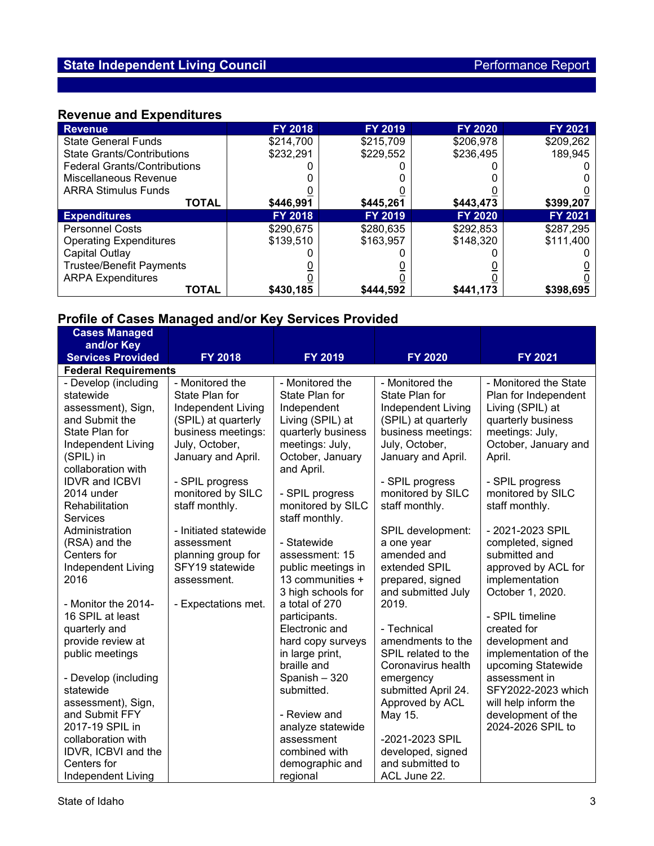# **Revenue and Expenditures**

| <b>Revenue</b>                      | FY 2018        | <b>FY 2019</b> | FY 2020        | FY 2021   |
|-------------------------------------|----------------|----------------|----------------|-----------|
| <b>State General Funds</b>          | \$214,700      | \$215,709      | \$206,978      | \$209,262 |
| <b>State Grants/Contributions</b>   | \$232,291      | \$229,552      | \$236,495      | 189,945   |
| <b>Federal Grants/Contributions</b> |                |                |                |           |
| Miscellaneous Revenue               |                |                |                |           |
| <b>ARRA Stimulus Funds</b>          |                |                |                |           |
| <b>TOTAL</b>                        | \$446,991      | \$445,261      | \$443,473      | \$399,207 |
| <b>Expenditures</b>                 | <b>FY 2018</b> | <b>FY 2019</b> | <b>FY 2020</b> | FY 2021   |
| <b>Personnel Costs</b>              | \$290,675      | \$280,635      | \$292,853      | \$287,295 |
| <b>Operating Expenditures</b>       | \$139,510      | \$163.957      | \$148,320      | \$111,400 |
| Capital Outlay                      |                |                |                |           |
| <b>Trustee/Benefit Payments</b>     |                |                |                |           |
| <b>ARPA Expenditures</b>            |                |                |                |           |
| <b>TOTAL</b>                        | \$430,185      | \$444.592      | \$441,173      | \$398,695 |

## **Profile of Cases Managed and/or Key Services Provided**

| <b>10000 OF DUOUS MUNUSUS AND NOT</b> |                       | <u>oal maan i lammad</u> |                     |                       |
|---------------------------------------|-----------------------|--------------------------|---------------------|-----------------------|
| <b>Cases Managed</b>                  |                       |                          |                     |                       |
| and/or Key                            |                       |                          |                     |                       |
| <b>Services Provided</b>              | <b>FY 2018</b>        | <b>FY 2019</b>           | <b>FY 2020</b>      | <b>FY 2021</b>        |
| <b>Federal Requirements</b>           |                       |                          |                     |                       |
| - Develop (including                  | - Monitored the       | - Monitored the          | - Monitored the     | - Monitored the State |
| statewide                             | State Plan for        | State Plan for           | State Plan for      | Plan for Independent  |
| assessment), Sign,                    | Independent Living    | Independent              | Independent Living  | Living (SPIL) at      |
| and Submit the                        | (SPIL) at quarterly   | Living (SPIL) at         | (SPIL) at quarterly | quarterly business    |
| State Plan for                        | business meetings:    | quarterly business       | business meetings:  | meetings: July,       |
| Independent Living                    | July, October,        | meetings: July,          | July, October,      | October, January and  |
| (SPIL) in                             | January and April.    | October, January         | January and April.  | April.                |
| collaboration with                    |                       | and April.               |                     |                       |
| <b>IDVR and ICBVI</b>                 | - SPIL progress       |                          | - SPIL progress     | - SPIL progress       |
| 2014 under                            | monitored by SILC     | - SPIL progress          | monitored by SILC   | monitored by SILC     |
| Rehabilitation                        | staff monthly.        | monitored by SILC        | staff monthly.      | staff monthly.        |
| <b>Services</b>                       |                       | staff monthly.           |                     |                       |
| Administration                        | - Initiated statewide |                          | SPIL development:   | - 2021-2023 SPIL      |
| (RSA) and the                         | assessment            | - Statewide              | a one year          | completed, signed     |
| Centers for                           | planning group for    | assessment: 15           | amended and         | submitted and         |
| Independent Living                    | SFY19 statewide       | public meetings in       | extended SPIL       | approved by ACL for   |
| 2016                                  | assessment.           | 13 communities +         | prepared, signed    | implementation        |
|                                       |                       | 3 high schools for       | and submitted July  | October 1, 2020.      |
| - Monitor the 2014-                   | - Expectations met.   | a total of 270           | 2019.               |                       |
| 16 SPIL at least                      |                       | participants.            |                     | - SPIL timeline       |
| quarterly and                         |                       | Electronic and           | - Technical         | created for           |
| provide review at                     |                       | hard copy surveys        | amendments to the   | development and       |
| public meetings                       |                       | in large print,          | SPIL related to the | implementation of the |
|                                       |                       | braille and              | Coronavirus health  | upcoming Statewide    |
| - Develop (including                  |                       | Spanish - 320            | emergency           | assessment in         |
| statewide                             |                       | submitted.               | submitted April 24. | SFY2022-2023 which    |
| assessment), Sign,                    |                       |                          | Approved by ACL     | will help inform the  |
| and Submit FFY                        |                       | - Review and             | May 15.             | development of the    |
| 2017-19 SPIL in                       |                       | analyze statewide        |                     | 2024-2026 SPIL to     |
| collaboration with                    |                       | assessment               | -2021-2023 SPIL     |                       |
| IDVR, ICBVI and the                   |                       | combined with            | developed, signed   |                       |
| Centers for                           |                       | demographic and          | and submitted to    |                       |
| Independent Living                    |                       | regional                 | ACL June 22.        |                       |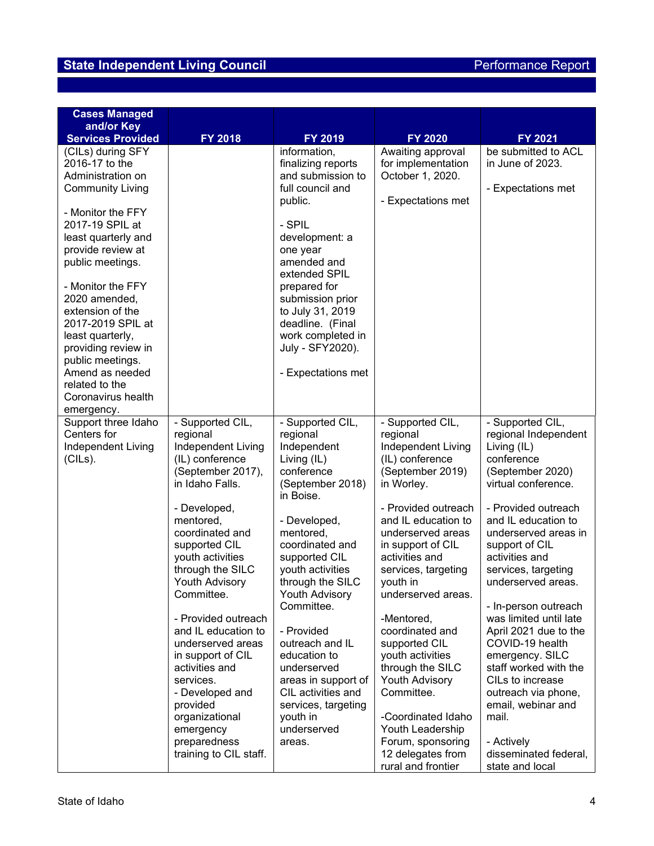| <b>Cases Managed</b><br>and/or Key                                                                                                                                                                                                                                                                                          |                                                                                                                                                                                                                                                                                                                                                                                                                                                                                       |                                                                                                                                                                                                                                                                                                                                                                                                                                    |                                                                                                                                                                                                                                                                                                                                                                                                                                                                                                                       |                                                                                                                                                                                                                                                                                                                                                                                                                                                                                                                                                       |
|-----------------------------------------------------------------------------------------------------------------------------------------------------------------------------------------------------------------------------------------------------------------------------------------------------------------------------|---------------------------------------------------------------------------------------------------------------------------------------------------------------------------------------------------------------------------------------------------------------------------------------------------------------------------------------------------------------------------------------------------------------------------------------------------------------------------------------|------------------------------------------------------------------------------------------------------------------------------------------------------------------------------------------------------------------------------------------------------------------------------------------------------------------------------------------------------------------------------------------------------------------------------------|-----------------------------------------------------------------------------------------------------------------------------------------------------------------------------------------------------------------------------------------------------------------------------------------------------------------------------------------------------------------------------------------------------------------------------------------------------------------------------------------------------------------------|-------------------------------------------------------------------------------------------------------------------------------------------------------------------------------------------------------------------------------------------------------------------------------------------------------------------------------------------------------------------------------------------------------------------------------------------------------------------------------------------------------------------------------------------------------|
| <b>Services Provided</b>                                                                                                                                                                                                                                                                                                    | FY 2018                                                                                                                                                                                                                                                                                                                                                                                                                                                                               | FY 2019                                                                                                                                                                                                                                                                                                                                                                                                                            | <b>FY 2020</b>                                                                                                                                                                                                                                                                                                                                                                                                                                                                                                        | FY 2021                                                                                                                                                                                                                                                                                                                                                                                                                                                                                                                                               |
| (CILs) during SFY<br>2016-17 to the<br>Administration on<br><b>Community Living</b>                                                                                                                                                                                                                                         |                                                                                                                                                                                                                                                                                                                                                                                                                                                                                       | information,<br>finalizing reports<br>and submission to<br>full council and<br>public.                                                                                                                                                                                                                                                                                                                                             | Awaiting approval<br>for implementation<br>October 1, 2020.<br>- Expectations met                                                                                                                                                                                                                                                                                                                                                                                                                                     | be submitted to ACL<br>in June of 2023.<br>- Expectations met                                                                                                                                                                                                                                                                                                                                                                                                                                                                                         |
| - Monitor the FFY<br>2017-19 SPIL at<br>least quarterly and<br>provide review at<br>public meetings.<br>- Monitor the FFY<br>2020 amended,<br>extension of the<br>2017-2019 SPIL at<br>least quarterly,<br>providing review in<br>public meetings.<br>Amend as needed<br>related to the<br>Coronavirus health<br>emergency. |                                                                                                                                                                                                                                                                                                                                                                                                                                                                                       | - SPIL<br>development: a<br>one year<br>amended and<br>extended SPIL<br>prepared for<br>submission prior<br>to July 31, 2019<br>deadline. (Final<br>work completed in<br>July - SFY2020).<br>- Expectations met                                                                                                                                                                                                                    |                                                                                                                                                                                                                                                                                                                                                                                                                                                                                                                       |                                                                                                                                                                                                                                                                                                                                                                                                                                                                                                                                                       |
| Support three Idaho<br>Centers for<br>Independent Living<br>(CILs).                                                                                                                                                                                                                                                         | - Supported CIL,<br>regional<br>Independent Living<br>(IL) conference<br>(September 2017),<br>in Idaho Falls.<br>- Developed,<br>mentored,<br>coordinated and<br>supported CIL<br>youth activities<br>through the SILC<br>Youth Advisory<br>Committee.<br>- Provided outreach<br>and IL education to<br>underserved areas<br>in support of CIL<br>activities and<br>services.<br>- Developed and<br>provided<br>organizational<br>emergency<br>preparedness<br>training to CIL staff. | - Supported CIL,<br>regional<br>Independent<br>Living (IL)<br>conference<br>(September 2018)<br>in Boise.<br>- Developed,<br>mentored,<br>coordinated and<br>supported CIL<br>youth activities<br>through the SILC<br><b>Youth Advisory</b><br>Committee.<br>- Provided<br>outreach and IL<br>education to<br>underserved<br>areas in support of<br>CIL activities and<br>services, targeting<br>youth in<br>underserved<br>areas. | - Supported CIL,<br>regional<br>Independent Living<br>(IL) conference<br>(September 2019)<br>in Worley.<br>- Provided outreach<br>and IL education to<br>underserved areas<br>in support of CIL<br>activities and<br>services, targeting<br>youth in<br>underserved areas.<br>-Mentored,<br>coordinated and<br>supported CIL<br>youth activities<br>through the SILC<br><b>Youth Advisory</b><br>Committee.<br>-Coordinated Idaho<br>Youth Leadership<br>Forum, sponsoring<br>12 delegates from<br>rural and frontier | - Supported CIL,<br>regional Independent<br>Living (IL)<br>conference<br>(September 2020)<br>virtual conference.<br>- Provided outreach<br>and IL education to<br>underserved areas in<br>support of CIL<br>activities and<br>services, targeting<br>underserved areas.<br>- In-person outreach<br>was limited until late<br>April 2021 due to the<br>COVID-19 health<br>emergency. SILC<br>staff worked with the<br>CILs to increase<br>outreach via phone,<br>email, webinar and<br>mail.<br>- Actively<br>disseminated federal,<br>state and local |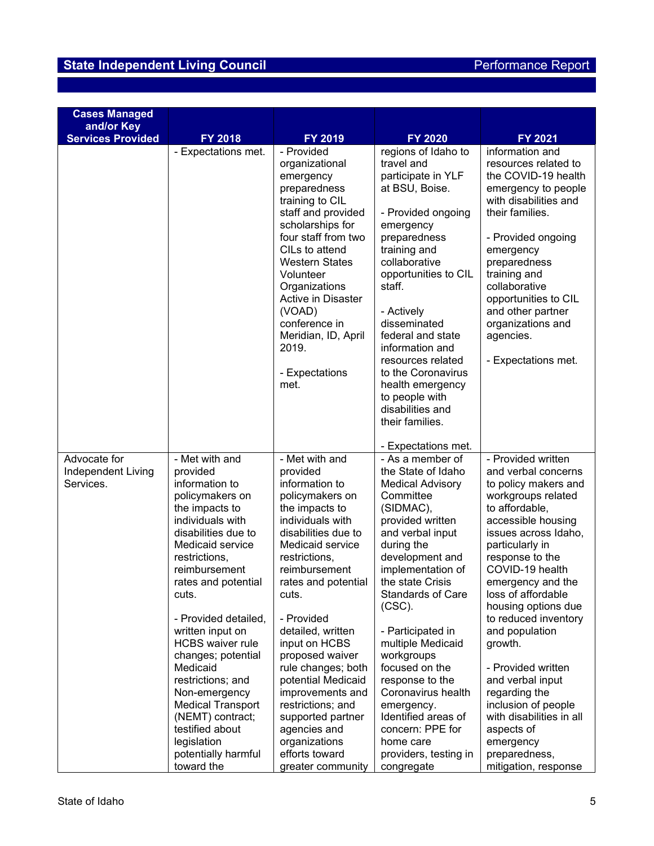| <b>Cases Managed</b>                   |                                              |                                        |                                         |                                                 |  |
|----------------------------------------|----------------------------------------------|----------------------------------------|-----------------------------------------|-------------------------------------------------|--|
| and/or Key<br><b>Services Provided</b> | <b>FY 2018</b>                               | FY 2019                                | FY 2020                                 | FY 2021                                         |  |
|                                        | - Expectations met.                          | - Provided                             | regions of Idaho to<br>information and  |                                                 |  |
|                                        |                                              | organizational                         | travel and                              | resources related to                            |  |
|                                        |                                              | emergency                              | participate in YLF                      | the COVID-19 health                             |  |
|                                        |                                              | preparedness                           | at BSU, Boise.                          | emergency to people                             |  |
|                                        |                                              | training to CIL                        |                                         | with disabilities and                           |  |
|                                        |                                              | staff and provided                     | - Provided ongoing                      | their families.                                 |  |
|                                        |                                              | scholarships for                       | emergency                               |                                                 |  |
|                                        |                                              | four staff from two<br>CILs to attend  | preparedness                            | - Provided ongoing                              |  |
|                                        |                                              | <b>Western States</b>                  | training and<br>collaborative           | emergency<br>preparedness                       |  |
|                                        |                                              | Volunteer                              | opportunities to CIL                    | training and                                    |  |
|                                        |                                              | Organizations                          | staff.                                  | collaborative                                   |  |
|                                        |                                              | Active in Disaster                     |                                         | opportunities to CIL                            |  |
|                                        |                                              | (VOAD)                                 | - Actively                              | and other partner                               |  |
|                                        |                                              | conference in                          | disseminated                            | organizations and                               |  |
|                                        |                                              | Meridian, ID, April                    | federal and state                       | agencies.                                       |  |
|                                        |                                              | 2019.                                  | information and                         |                                                 |  |
|                                        |                                              | - Expectations                         | resources related<br>to the Coronavirus | - Expectations met.                             |  |
|                                        |                                              | met.                                   | health emergency                        |                                                 |  |
|                                        |                                              |                                        | to people with                          |                                                 |  |
|                                        |                                              |                                        | disabilities and                        |                                                 |  |
|                                        |                                              |                                        | their families.                         |                                                 |  |
|                                        |                                              |                                        |                                         |                                                 |  |
|                                        |                                              |                                        | - Expectations met.                     |                                                 |  |
| Advocate for                           | - Met with and<br>provided                   | - Met with and<br>provided             | - As a member of<br>the State of Idaho  | - Provided written<br>and verbal concerns       |  |
| Independent Living<br>Services.        | information to                               | information to                         | <b>Medical Advisory</b>                 | to policy makers and                            |  |
|                                        | policymakers on                              | policymakers on                        | Committee                               | workgroups related                              |  |
|                                        | the impacts to                               | the impacts to                         | (SIDMAC),                               | to affordable,                                  |  |
|                                        | individuals with                             | individuals with                       | provided written                        | accessible housing                              |  |
|                                        | disabilities due to                          | disabilities due to                    | and verbal input                        | issues across Idaho,                            |  |
|                                        | Medicaid service                             | Medicaid service                       | during the                              | particularly in                                 |  |
|                                        | restrictions,                                | restrictions,                          | development and                         | response to the                                 |  |
|                                        | reimbursement                                | reimbursement                          | implementation of                       | COVID-19 health                                 |  |
|                                        | rates and potential<br>cuts.                 | rates and potential<br>cuts.           | the state Crisis<br>Standards of Care   | emergency and the<br>loss of affordable         |  |
|                                        |                                              |                                        | $(CSC)$ .                               | housing options due                             |  |
|                                        | - Provided detailed,                         | - Provided                             |                                         | to reduced inventory                            |  |
|                                        | written input on                             | detailed, written                      | - Participated in                       | and population                                  |  |
|                                        | <b>HCBS</b> waiver rule                      | input on HCBS                          | multiple Medicaid                       | growth.                                         |  |
|                                        | changes; potential                           | proposed waiver                        | workgroups                              |                                                 |  |
|                                        | Medicaid                                     | rule changes; both                     | focused on the                          | - Provided written                              |  |
|                                        | restrictions; and                            | potential Medicaid                     | response to the                         | and verbal input                                |  |
|                                        | Non-emergency                                | improvements and                       | Coronavirus health                      | regarding the                                   |  |
|                                        | <b>Medical Transport</b><br>(NEMT) contract; | restrictions; and<br>supported partner | emergency.<br>Identified areas of       | inclusion of people<br>with disabilities in all |  |
|                                        | testified about                              | agencies and                           | concern: PPE for                        | aspects of                                      |  |
|                                        | legislation                                  | organizations                          | home care                               | emergency                                       |  |
|                                        | potentially harmful                          | efforts toward                         | providers, testing in                   | preparedness,                                   |  |
|                                        | toward the                                   | greater community                      | congregate                              | mitigation, response                            |  |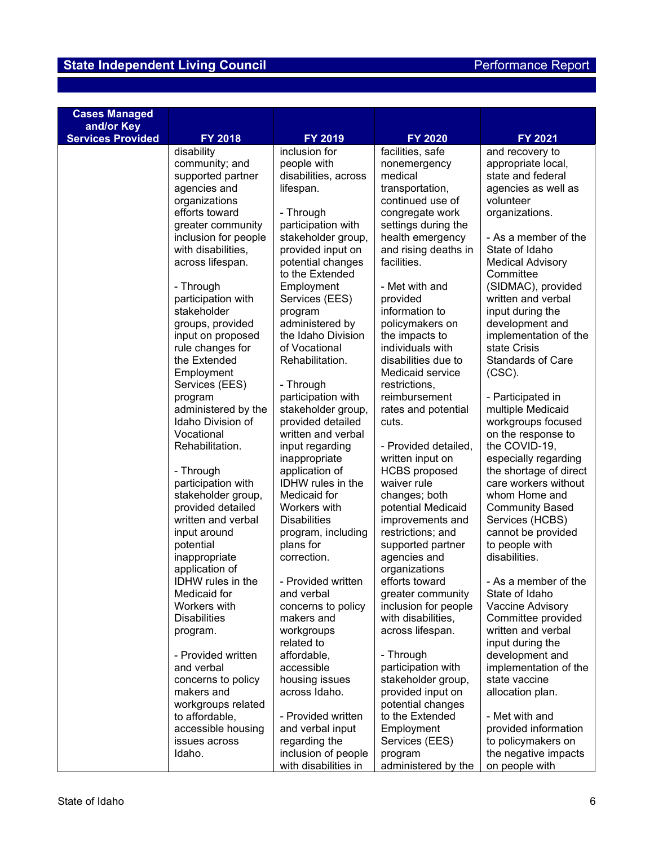| <b>Cases Managed</b><br>and/or Key |                                   |                                  |                                 |                                          |
|------------------------------------|-----------------------------------|----------------------------------|---------------------------------|------------------------------------------|
| <b>Services Provided</b>           | FY 2018                           | FY 2019                          | FY 2020                         | FY 2021                                  |
|                                    | disability                        | inclusion for                    | facilities, safe                | and recovery to                          |
|                                    | community; and                    | people with                      | nonemergency                    | appropriate local,                       |
|                                    | supported partner                 | disabilities, across             | medical                         | state and federal                        |
|                                    | agencies and                      | lifespan.                        | transportation,                 | agencies as well as                      |
|                                    | organizations                     |                                  | continued use of                | volunteer                                |
|                                    | efforts toward                    | - Through                        | congregate work                 | organizations.                           |
|                                    | greater community                 | participation with               | settings during the             |                                          |
|                                    | inclusion for people              | stakeholder group,               | health emergency                | - As a member of the                     |
|                                    | with disabilities,                | provided input on                | and rising deaths in            | State of Idaho                           |
|                                    | across lifespan.                  | potential changes                | facilities.                     | <b>Medical Advisory</b>                  |
|                                    |                                   | to the Extended                  | - Met with and                  | Committee                                |
|                                    | - Through                         | Employment                       |                                 | (SIDMAC), provided<br>written and verbal |
|                                    | participation with<br>stakeholder | Services (EES)<br>program        | provided<br>information to      | input during the                         |
|                                    | groups, provided                  | administered by                  | policymakers on                 | development and                          |
|                                    | input on proposed                 | the Idaho Division               | the impacts to                  | implementation of the                    |
|                                    | rule changes for                  | of Vocational                    | individuals with                | state Crisis                             |
|                                    | the Extended                      | Rehabilitation.                  | disabilities due to             | <b>Standards of Care</b>                 |
|                                    | Employment                        |                                  | Medicaid service                | $(CSC)$ .                                |
|                                    | Services (EES)                    | - Through                        | restrictions,                   |                                          |
|                                    | program                           | participation with               | reimbursement                   | - Participated in                        |
|                                    | administered by the               | stakeholder group,               | rates and potential             | multiple Medicaid                        |
|                                    | Idaho Division of                 | provided detailed                | cuts.                           | workgroups focused                       |
|                                    | Vocational                        | written and verbal               |                                 | on the response to                       |
|                                    | Rehabilitation.                   | input regarding                  | - Provided detailed,            | the COVID-19,                            |
|                                    |                                   | inappropriate                    | written input on                | especially regarding                     |
|                                    | - Through                         | application of                   | <b>HCBS</b> proposed            | the shortage of direct                   |
|                                    | participation with                | IDHW rules in the                | waiver rule                     | care workers without                     |
|                                    | stakeholder group,                | Medicaid for                     | changes; both                   | whom Home and                            |
|                                    | provided detailed                 | Workers with                     | potential Medicaid              | <b>Community Based</b>                   |
|                                    | written and verbal                | <b>Disabilities</b>              | improvements and                | Services (HCBS)                          |
|                                    | input around                      | program, including               | restrictions; and               | cannot be provided                       |
|                                    | potential                         | plans for                        | supported partner               | to people with                           |
|                                    | inappropriate                     | correction.                      | agencies and                    | disabilities.                            |
|                                    | application of                    |                                  | organizations<br>efforts toward |                                          |
|                                    | IDHW rules in the<br>Medicaid for | - Provided written<br>and verbal | greater community               | - As a member of the<br>State of Idaho   |
|                                    | Workers with                      | concerns to policy               | inclusion for people            | Vaccine Advisory                         |
|                                    | <b>Disabilities</b>               | makers and                       | with disabilities,              | Committee provided                       |
|                                    | program.                          | workgroups                       | across lifespan.                | written and verbal                       |
|                                    |                                   | related to                       |                                 | input during the                         |
|                                    | - Provided written                | affordable,                      | - Through                       | development and                          |
|                                    | and verbal                        | accessible                       | participation with              | implementation of the                    |
|                                    | concerns to policy                | housing issues                   | stakeholder group,              | state vaccine                            |
|                                    | makers and                        | across Idaho.                    | provided input on               | allocation plan.                         |
|                                    | workgroups related                |                                  | potential changes               |                                          |
|                                    | to affordable,                    | - Provided written               | to the Extended                 | - Met with and                           |
|                                    | accessible housing                | and verbal input                 | Employment                      | provided information                     |
|                                    | issues across                     | regarding the                    | Services (EES)                  | to policymakers on                       |
|                                    | Idaho.                            | inclusion of people              | program                         | the negative impacts                     |
|                                    |                                   | with disabilities in             | administered by the             | on people with                           |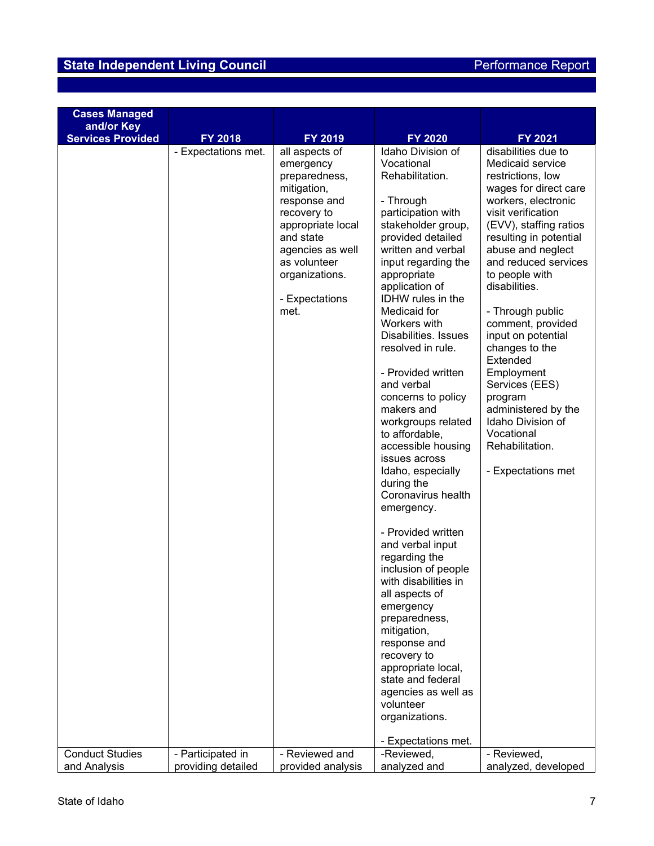# **State Independent Living Council** Access of Access Performance Report

| <b>Cases Managed</b>                   |                                |                                                                                                                                                                                                                         |                                                                                                                                                                                                                                                                                                                                                                                                                                                                                                                                                                                                                                                                                                                                                                                                                            |                                                                                                                                                                                                                                                                                                                                                                                                                                                                                                                              |
|----------------------------------------|--------------------------------|-------------------------------------------------------------------------------------------------------------------------------------------------------------------------------------------------------------------------|----------------------------------------------------------------------------------------------------------------------------------------------------------------------------------------------------------------------------------------------------------------------------------------------------------------------------------------------------------------------------------------------------------------------------------------------------------------------------------------------------------------------------------------------------------------------------------------------------------------------------------------------------------------------------------------------------------------------------------------------------------------------------------------------------------------------------|------------------------------------------------------------------------------------------------------------------------------------------------------------------------------------------------------------------------------------------------------------------------------------------------------------------------------------------------------------------------------------------------------------------------------------------------------------------------------------------------------------------------------|
|                                        |                                |                                                                                                                                                                                                                         |                                                                                                                                                                                                                                                                                                                                                                                                                                                                                                                                                                                                                                                                                                                                                                                                                            |                                                                                                                                                                                                                                                                                                                                                                                                                                                                                                                              |
|                                        |                                |                                                                                                                                                                                                                         |                                                                                                                                                                                                                                                                                                                                                                                                                                                                                                                                                                                                                                                                                                                                                                                                                            |                                                                                                                                                                                                                                                                                                                                                                                                                                                                                                                              |
| and/or Key<br><b>Services Provided</b> | FY 2018<br>- Expectations met. | FY 2019<br>all aspects of<br>emergency<br>preparedness,<br>mitigation,<br>response and<br>recovery to<br>appropriate local<br>and state<br>agencies as well<br>as volunteer<br>organizations.<br>- Expectations<br>met. | <b>FY 2020</b><br>Idaho Division of<br>Vocational<br>Rehabilitation.<br>- Through<br>participation with<br>stakeholder group,<br>provided detailed<br>written and verbal<br>input regarding the<br>appropriate<br>application of<br><b>IDHW</b> rules in the<br>Medicaid for<br>Workers with<br>Disabilities. Issues<br>resolved in rule.<br>- Provided written<br>and verbal<br>concerns to policy<br>makers and<br>workgroups related<br>to affordable,<br>accessible housing<br>issues across<br>Idaho, especially<br>during the<br>Coronavirus health<br>emergency.<br>- Provided written<br>and verbal input<br>regarding the<br>inclusion of people<br>with disabilities in<br>all aspects of<br>emergency<br>preparedness,<br>mitigation,<br>response and<br>recovery to<br>appropriate local,<br>state and federal | FY 2021<br>disabilities due to<br>Medicaid service<br>restrictions, low<br>wages for direct care<br>workers, electronic<br>visit verification<br>(EVV), staffing ratios<br>resulting in potential<br>abuse and neglect<br>and reduced services<br>to people with<br>disabilities.<br>- Through public<br>comment, provided<br>input on potential<br>changes to the<br>Extended<br>Employment<br>Services (EES)<br>program<br>administered by the<br>Idaho Division of<br>Vocational<br>Rehabilitation.<br>- Expectations met |
|                                        |                                |                                                                                                                                                                                                                         | agencies as well as                                                                                                                                                                                                                                                                                                                                                                                                                                                                                                                                                                                                                                                                                                                                                                                                        |                                                                                                                                                                                                                                                                                                                                                                                                                                                                                                                              |
|                                        |                                |                                                                                                                                                                                                                         | volunteer                                                                                                                                                                                                                                                                                                                                                                                                                                                                                                                                                                                                                                                                                                                                                                                                                  |                                                                                                                                                                                                                                                                                                                                                                                                                                                                                                                              |
|                                        |                                |                                                                                                                                                                                                                         | organizations.                                                                                                                                                                                                                                                                                                                                                                                                                                                                                                                                                                                                                                                                                                                                                                                                             |                                                                                                                                                                                                                                                                                                                                                                                                                                                                                                                              |
|                                        |                                |                                                                                                                                                                                                                         |                                                                                                                                                                                                                                                                                                                                                                                                                                                                                                                                                                                                                                                                                                                                                                                                                            |                                                                                                                                                                                                                                                                                                                                                                                                                                                                                                                              |
|                                        |                                |                                                                                                                                                                                                                         | - Expectations met.                                                                                                                                                                                                                                                                                                                                                                                                                                                                                                                                                                                                                                                                                                                                                                                                        |                                                                                                                                                                                                                                                                                                                                                                                                                                                                                                                              |
| <b>Conduct Studies</b>                 | - Participated in              | - Reviewed and                                                                                                                                                                                                          | -Reviewed,                                                                                                                                                                                                                                                                                                                                                                                                                                                                                                                                                                                                                                                                                                                                                                                                                 | - Reviewed,                                                                                                                                                                                                                                                                                                                                                                                                                                                                                                                  |
| and Analysis                           | providing detailed             | provided analysis                                                                                                                                                                                                       | analyzed and                                                                                                                                                                                                                                                                                                                                                                                                                                                                                                                                                                                                                                                                                                                                                                                                               | analyzed, developed                                                                                                                                                                                                                                                                                                                                                                                                                                                                                                          |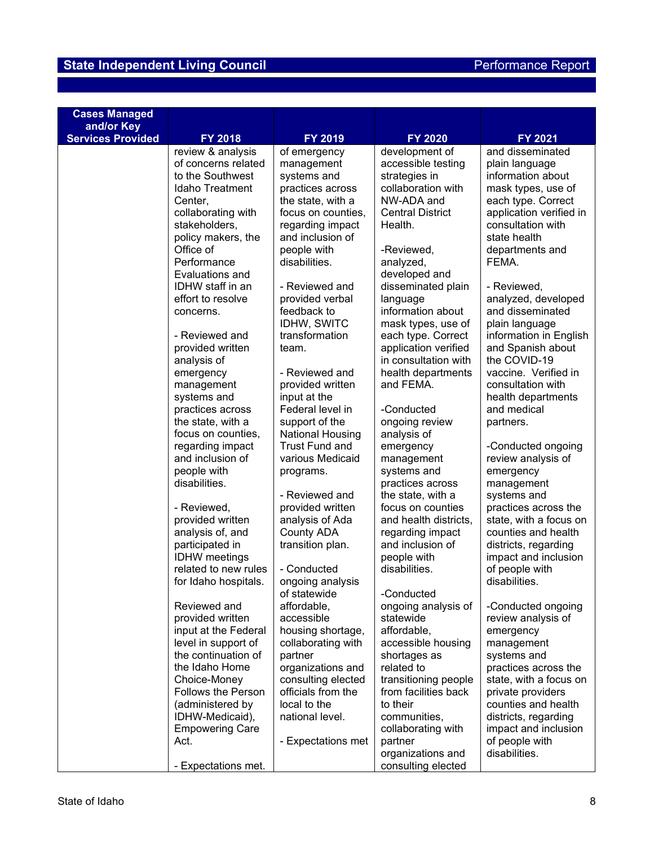| <b>Services Provided</b><br>FY 2018<br>FY 2019<br><b>FY 2020</b><br>FY 2021<br>and disseminated<br>review & analysis<br>of emergency<br>development of<br>of concerns related<br>accessible testing<br>management<br>plain language<br>to the Southwest<br>systems and<br>strategies in<br>information about<br><b>Idaho Treatment</b><br>collaboration with<br>practices across<br>mask types, use of<br>the state, with a<br>NW-ADA and<br>each type. Correct<br>Center,<br>collaborating with<br>application verified in<br>focus on counties,<br><b>Central District</b><br>stakeholders,<br>regarding impact<br>Health.<br>consultation with<br>policy makers, the<br>and inclusion of<br>state health<br>Office of<br>people with<br>-Reviewed,<br>departments and<br>Performance<br>disabilities.<br>FEMA.<br>analyzed,<br>Evaluations and<br>developed and<br>IDHW staff in an<br>- Reviewed and<br>disseminated plain<br>- Reviewed,<br>effort to resolve<br>provided verbal<br>analyzed, developed<br>language<br>information about<br>and disseminated<br>feedback to<br>concerns.<br>IDHW, SWITC<br>mask types, use of<br>plain language<br>- Reviewed and<br>transformation<br>each type. Correct<br>information in English<br>provided written<br>application verified<br>and Spanish about<br>team.<br>analysis of<br>in consultation with<br>the COVID-19<br>- Reviewed and<br>vaccine. Verified in<br>emergency<br>health departments<br>provided written<br>and FEMA.<br>consultation with<br>management<br>systems and<br>health departments<br>input at the<br>Federal level in<br>practices across<br>and medical<br>-Conducted<br>the state, with a<br>support of the<br>ongoing review<br>partners.<br>focus on counties,<br>National Housing<br>analysis of<br><b>Trust Fund and</b><br>regarding impact<br>emergency<br>-Conducted ongoing<br>and inclusion of<br>review analysis of<br>various Medicaid<br>management<br>people with<br>systems and<br>emergency<br>programs.<br>disabilities.<br>practices across<br>management<br>- Reviewed and<br>the state, with a<br>systems and<br>provided written<br>focus on counties<br>practices across the<br>- Reviewed,<br>analysis of Ada<br>and health districts,<br>state, with a focus on<br>provided written<br>analysis of, and<br><b>County ADA</b><br>regarding impact<br>counties and health<br>and inclusion of<br>participated in<br>transition plan.<br>districts, regarding<br><b>IDHW</b> meetings<br>people with<br>impact and inclusion<br>related to new rules<br>- Conducted<br>disabilities.<br>of people with<br>disabilities.<br>for Idaho hospitals.<br>ongoing analysis<br>of statewide<br>-Conducted<br>Reviewed and<br>affordable,<br>ongoing analysis of<br>-Conducted ongoing<br>statewide<br>provided written<br>accessible<br>review analysis of<br>affordable,<br>input at the Federal<br>housing shortage,<br>emergency<br>level in support of<br>collaborating with<br>accessible housing<br>management<br>the continuation of<br>shortages as<br>systems and<br>partner<br>the Idaho Home<br>organizations and<br>related to<br>practices across the<br>consulting elected<br>transitioning people<br>state, with a focus on<br>Choice-Money<br>officials from the<br><b>Follows the Person</b><br>from facilities back<br>private providers<br>local to the<br>counties and health<br>(administered by<br>to their<br>IDHW-Medicaid),<br>national level.<br>districts, regarding<br>communities, | <b>Cases Managed</b><br>and/or Key |  |  |  |
|-------------------------------------------------------------------------------------------------------------------------------------------------------------------------------------------------------------------------------------------------------------------------------------------------------------------------------------------------------------------------------------------------------------------------------------------------------------------------------------------------------------------------------------------------------------------------------------------------------------------------------------------------------------------------------------------------------------------------------------------------------------------------------------------------------------------------------------------------------------------------------------------------------------------------------------------------------------------------------------------------------------------------------------------------------------------------------------------------------------------------------------------------------------------------------------------------------------------------------------------------------------------------------------------------------------------------------------------------------------------------------------------------------------------------------------------------------------------------------------------------------------------------------------------------------------------------------------------------------------------------------------------------------------------------------------------------------------------------------------------------------------------------------------------------------------------------------------------------------------------------------------------------------------------------------------------------------------------------------------------------------------------------------------------------------------------------------------------------------------------------------------------------------------------------------------------------------------------------------------------------------------------------------------------------------------------------------------------------------------------------------------------------------------------------------------------------------------------------------------------------------------------------------------------------------------------------------------------------------------------------------------------------------------------------------------------------------------------------------------------------------------------------------------------------------------------------------------------------------------------------------------------------------------------------------------------------------------------------------------------------------------------------------------------------------------------------------------------------------------------------------------------------------------------------------------------------------------------------------------------------------------------------------------------------------------------------------------------------------------------------------------------------------------------------------------------------------------------------------------------------------------|------------------------------------|--|--|--|
|                                                                                                                                                                                                                                                                                                                                                                                                                                                                                                                                                                                                                                                                                                                                                                                                                                                                                                                                                                                                                                                                                                                                                                                                                                                                                                                                                                                                                                                                                                                                                                                                                                                                                                                                                                                                                                                                                                                                                                                                                                                                                                                                                                                                                                                                                                                                                                                                                                                                                                                                                                                                                                                                                                                                                                                                                                                                                                                                                                                                                                                                                                                                                                                                                                                                                                                                                                                                                                                                                                             |                                    |  |  |  |
|                                                                                                                                                                                                                                                                                                                                                                                                                                                                                                                                                                                                                                                                                                                                                                                                                                                                                                                                                                                                                                                                                                                                                                                                                                                                                                                                                                                                                                                                                                                                                                                                                                                                                                                                                                                                                                                                                                                                                                                                                                                                                                                                                                                                                                                                                                                                                                                                                                                                                                                                                                                                                                                                                                                                                                                                                                                                                                                                                                                                                                                                                                                                                                                                                                                                                                                                                                                                                                                                                                             |                                    |  |  |  |
|                                                                                                                                                                                                                                                                                                                                                                                                                                                                                                                                                                                                                                                                                                                                                                                                                                                                                                                                                                                                                                                                                                                                                                                                                                                                                                                                                                                                                                                                                                                                                                                                                                                                                                                                                                                                                                                                                                                                                                                                                                                                                                                                                                                                                                                                                                                                                                                                                                                                                                                                                                                                                                                                                                                                                                                                                                                                                                                                                                                                                                                                                                                                                                                                                                                                                                                                                                                                                                                                                                             |                                    |  |  |  |
|                                                                                                                                                                                                                                                                                                                                                                                                                                                                                                                                                                                                                                                                                                                                                                                                                                                                                                                                                                                                                                                                                                                                                                                                                                                                                                                                                                                                                                                                                                                                                                                                                                                                                                                                                                                                                                                                                                                                                                                                                                                                                                                                                                                                                                                                                                                                                                                                                                                                                                                                                                                                                                                                                                                                                                                                                                                                                                                                                                                                                                                                                                                                                                                                                                                                                                                                                                                                                                                                                                             |                                    |  |  |  |
|                                                                                                                                                                                                                                                                                                                                                                                                                                                                                                                                                                                                                                                                                                                                                                                                                                                                                                                                                                                                                                                                                                                                                                                                                                                                                                                                                                                                                                                                                                                                                                                                                                                                                                                                                                                                                                                                                                                                                                                                                                                                                                                                                                                                                                                                                                                                                                                                                                                                                                                                                                                                                                                                                                                                                                                                                                                                                                                                                                                                                                                                                                                                                                                                                                                                                                                                                                                                                                                                                                             |                                    |  |  |  |
|                                                                                                                                                                                                                                                                                                                                                                                                                                                                                                                                                                                                                                                                                                                                                                                                                                                                                                                                                                                                                                                                                                                                                                                                                                                                                                                                                                                                                                                                                                                                                                                                                                                                                                                                                                                                                                                                                                                                                                                                                                                                                                                                                                                                                                                                                                                                                                                                                                                                                                                                                                                                                                                                                                                                                                                                                                                                                                                                                                                                                                                                                                                                                                                                                                                                                                                                                                                                                                                                                                             |                                    |  |  |  |
|                                                                                                                                                                                                                                                                                                                                                                                                                                                                                                                                                                                                                                                                                                                                                                                                                                                                                                                                                                                                                                                                                                                                                                                                                                                                                                                                                                                                                                                                                                                                                                                                                                                                                                                                                                                                                                                                                                                                                                                                                                                                                                                                                                                                                                                                                                                                                                                                                                                                                                                                                                                                                                                                                                                                                                                                                                                                                                                                                                                                                                                                                                                                                                                                                                                                                                                                                                                                                                                                                                             |                                    |  |  |  |
|                                                                                                                                                                                                                                                                                                                                                                                                                                                                                                                                                                                                                                                                                                                                                                                                                                                                                                                                                                                                                                                                                                                                                                                                                                                                                                                                                                                                                                                                                                                                                                                                                                                                                                                                                                                                                                                                                                                                                                                                                                                                                                                                                                                                                                                                                                                                                                                                                                                                                                                                                                                                                                                                                                                                                                                                                                                                                                                                                                                                                                                                                                                                                                                                                                                                                                                                                                                                                                                                                                             |                                    |  |  |  |
|                                                                                                                                                                                                                                                                                                                                                                                                                                                                                                                                                                                                                                                                                                                                                                                                                                                                                                                                                                                                                                                                                                                                                                                                                                                                                                                                                                                                                                                                                                                                                                                                                                                                                                                                                                                                                                                                                                                                                                                                                                                                                                                                                                                                                                                                                                                                                                                                                                                                                                                                                                                                                                                                                                                                                                                                                                                                                                                                                                                                                                                                                                                                                                                                                                                                                                                                                                                                                                                                                                             |                                    |  |  |  |
|                                                                                                                                                                                                                                                                                                                                                                                                                                                                                                                                                                                                                                                                                                                                                                                                                                                                                                                                                                                                                                                                                                                                                                                                                                                                                                                                                                                                                                                                                                                                                                                                                                                                                                                                                                                                                                                                                                                                                                                                                                                                                                                                                                                                                                                                                                                                                                                                                                                                                                                                                                                                                                                                                                                                                                                                                                                                                                                                                                                                                                                                                                                                                                                                                                                                                                                                                                                                                                                                                                             |                                    |  |  |  |
|                                                                                                                                                                                                                                                                                                                                                                                                                                                                                                                                                                                                                                                                                                                                                                                                                                                                                                                                                                                                                                                                                                                                                                                                                                                                                                                                                                                                                                                                                                                                                                                                                                                                                                                                                                                                                                                                                                                                                                                                                                                                                                                                                                                                                                                                                                                                                                                                                                                                                                                                                                                                                                                                                                                                                                                                                                                                                                                                                                                                                                                                                                                                                                                                                                                                                                                                                                                                                                                                                                             |                                    |  |  |  |
|                                                                                                                                                                                                                                                                                                                                                                                                                                                                                                                                                                                                                                                                                                                                                                                                                                                                                                                                                                                                                                                                                                                                                                                                                                                                                                                                                                                                                                                                                                                                                                                                                                                                                                                                                                                                                                                                                                                                                                                                                                                                                                                                                                                                                                                                                                                                                                                                                                                                                                                                                                                                                                                                                                                                                                                                                                                                                                                                                                                                                                                                                                                                                                                                                                                                                                                                                                                                                                                                                                             |                                    |  |  |  |
|                                                                                                                                                                                                                                                                                                                                                                                                                                                                                                                                                                                                                                                                                                                                                                                                                                                                                                                                                                                                                                                                                                                                                                                                                                                                                                                                                                                                                                                                                                                                                                                                                                                                                                                                                                                                                                                                                                                                                                                                                                                                                                                                                                                                                                                                                                                                                                                                                                                                                                                                                                                                                                                                                                                                                                                                                                                                                                                                                                                                                                                                                                                                                                                                                                                                                                                                                                                                                                                                                                             |                                    |  |  |  |
|                                                                                                                                                                                                                                                                                                                                                                                                                                                                                                                                                                                                                                                                                                                                                                                                                                                                                                                                                                                                                                                                                                                                                                                                                                                                                                                                                                                                                                                                                                                                                                                                                                                                                                                                                                                                                                                                                                                                                                                                                                                                                                                                                                                                                                                                                                                                                                                                                                                                                                                                                                                                                                                                                                                                                                                                                                                                                                                                                                                                                                                                                                                                                                                                                                                                                                                                                                                                                                                                                                             |                                    |  |  |  |
|                                                                                                                                                                                                                                                                                                                                                                                                                                                                                                                                                                                                                                                                                                                                                                                                                                                                                                                                                                                                                                                                                                                                                                                                                                                                                                                                                                                                                                                                                                                                                                                                                                                                                                                                                                                                                                                                                                                                                                                                                                                                                                                                                                                                                                                                                                                                                                                                                                                                                                                                                                                                                                                                                                                                                                                                                                                                                                                                                                                                                                                                                                                                                                                                                                                                                                                                                                                                                                                                                                             |                                    |  |  |  |
|                                                                                                                                                                                                                                                                                                                                                                                                                                                                                                                                                                                                                                                                                                                                                                                                                                                                                                                                                                                                                                                                                                                                                                                                                                                                                                                                                                                                                                                                                                                                                                                                                                                                                                                                                                                                                                                                                                                                                                                                                                                                                                                                                                                                                                                                                                                                                                                                                                                                                                                                                                                                                                                                                                                                                                                                                                                                                                                                                                                                                                                                                                                                                                                                                                                                                                                                                                                                                                                                                                             |                                    |  |  |  |
|                                                                                                                                                                                                                                                                                                                                                                                                                                                                                                                                                                                                                                                                                                                                                                                                                                                                                                                                                                                                                                                                                                                                                                                                                                                                                                                                                                                                                                                                                                                                                                                                                                                                                                                                                                                                                                                                                                                                                                                                                                                                                                                                                                                                                                                                                                                                                                                                                                                                                                                                                                                                                                                                                                                                                                                                                                                                                                                                                                                                                                                                                                                                                                                                                                                                                                                                                                                                                                                                                                             |                                    |  |  |  |
|                                                                                                                                                                                                                                                                                                                                                                                                                                                                                                                                                                                                                                                                                                                                                                                                                                                                                                                                                                                                                                                                                                                                                                                                                                                                                                                                                                                                                                                                                                                                                                                                                                                                                                                                                                                                                                                                                                                                                                                                                                                                                                                                                                                                                                                                                                                                                                                                                                                                                                                                                                                                                                                                                                                                                                                                                                                                                                                                                                                                                                                                                                                                                                                                                                                                                                                                                                                                                                                                                                             |                                    |  |  |  |
|                                                                                                                                                                                                                                                                                                                                                                                                                                                                                                                                                                                                                                                                                                                                                                                                                                                                                                                                                                                                                                                                                                                                                                                                                                                                                                                                                                                                                                                                                                                                                                                                                                                                                                                                                                                                                                                                                                                                                                                                                                                                                                                                                                                                                                                                                                                                                                                                                                                                                                                                                                                                                                                                                                                                                                                                                                                                                                                                                                                                                                                                                                                                                                                                                                                                                                                                                                                                                                                                                                             |                                    |  |  |  |
|                                                                                                                                                                                                                                                                                                                                                                                                                                                                                                                                                                                                                                                                                                                                                                                                                                                                                                                                                                                                                                                                                                                                                                                                                                                                                                                                                                                                                                                                                                                                                                                                                                                                                                                                                                                                                                                                                                                                                                                                                                                                                                                                                                                                                                                                                                                                                                                                                                                                                                                                                                                                                                                                                                                                                                                                                                                                                                                                                                                                                                                                                                                                                                                                                                                                                                                                                                                                                                                                                                             |                                    |  |  |  |
|                                                                                                                                                                                                                                                                                                                                                                                                                                                                                                                                                                                                                                                                                                                                                                                                                                                                                                                                                                                                                                                                                                                                                                                                                                                                                                                                                                                                                                                                                                                                                                                                                                                                                                                                                                                                                                                                                                                                                                                                                                                                                                                                                                                                                                                                                                                                                                                                                                                                                                                                                                                                                                                                                                                                                                                                                                                                                                                                                                                                                                                                                                                                                                                                                                                                                                                                                                                                                                                                                                             |                                    |  |  |  |
|                                                                                                                                                                                                                                                                                                                                                                                                                                                                                                                                                                                                                                                                                                                                                                                                                                                                                                                                                                                                                                                                                                                                                                                                                                                                                                                                                                                                                                                                                                                                                                                                                                                                                                                                                                                                                                                                                                                                                                                                                                                                                                                                                                                                                                                                                                                                                                                                                                                                                                                                                                                                                                                                                                                                                                                                                                                                                                                                                                                                                                                                                                                                                                                                                                                                                                                                                                                                                                                                                                             |                                    |  |  |  |
|                                                                                                                                                                                                                                                                                                                                                                                                                                                                                                                                                                                                                                                                                                                                                                                                                                                                                                                                                                                                                                                                                                                                                                                                                                                                                                                                                                                                                                                                                                                                                                                                                                                                                                                                                                                                                                                                                                                                                                                                                                                                                                                                                                                                                                                                                                                                                                                                                                                                                                                                                                                                                                                                                                                                                                                                                                                                                                                                                                                                                                                                                                                                                                                                                                                                                                                                                                                                                                                                                                             |                                    |  |  |  |
|                                                                                                                                                                                                                                                                                                                                                                                                                                                                                                                                                                                                                                                                                                                                                                                                                                                                                                                                                                                                                                                                                                                                                                                                                                                                                                                                                                                                                                                                                                                                                                                                                                                                                                                                                                                                                                                                                                                                                                                                                                                                                                                                                                                                                                                                                                                                                                                                                                                                                                                                                                                                                                                                                                                                                                                                                                                                                                                                                                                                                                                                                                                                                                                                                                                                                                                                                                                                                                                                                                             |                                    |  |  |  |
|                                                                                                                                                                                                                                                                                                                                                                                                                                                                                                                                                                                                                                                                                                                                                                                                                                                                                                                                                                                                                                                                                                                                                                                                                                                                                                                                                                                                                                                                                                                                                                                                                                                                                                                                                                                                                                                                                                                                                                                                                                                                                                                                                                                                                                                                                                                                                                                                                                                                                                                                                                                                                                                                                                                                                                                                                                                                                                                                                                                                                                                                                                                                                                                                                                                                                                                                                                                                                                                                                                             |                                    |  |  |  |
|                                                                                                                                                                                                                                                                                                                                                                                                                                                                                                                                                                                                                                                                                                                                                                                                                                                                                                                                                                                                                                                                                                                                                                                                                                                                                                                                                                                                                                                                                                                                                                                                                                                                                                                                                                                                                                                                                                                                                                                                                                                                                                                                                                                                                                                                                                                                                                                                                                                                                                                                                                                                                                                                                                                                                                                                                                                                                                                                                                                                                                                                                                                                                                                                                                                                                                                                                                                                                                                                                                             |                                    |  |  |  |
|                                                                                                                                                                                                                                                                                                                                                                                                                                                                                                                                                                                                                                                                                                                                                                                                                                                                                                                                                                                                                                                                                                                                                                                                                                                                                                                                                                                                                                                                                                                                                                                                                                                                                                                                                                                                                                                                                                                                                                                                                                                                                                                                                                                                                                                                                                                                                                                                                                                                                                                                                                                                                                                                                                                                                                                                                                                                                                                                                                                                                                                                                                                                                                                                                                                                                                                                                                                                                                                                                                             |                                    |  |  |  |
|                                                                                                                                                                                                                                                                                                                                                                                                                                                                                                                                                                                                                                                                                                                                                                                                                                                                                                                                                                                                                                                                                                                                                                                                                                                                                                                                                                                                                                                                                                                                                                                                                                                                                                                                                                                                                                                                                                                                                                                                                                                                                                                                                                                                                                                                                                                                                                                                                                                                                                                                                                                                                                                                                                                                                                                                                                                                                                                                                                                                                                                                                                                                                                                                                                                                                                                                                                                                                                                                                                             |                                    |  |  |  |
|                                                                                                                                                                                                                                                                                                                                                                                                                                                                                                                                                                                                                                                                                                                                                                                                                                                                                                                                                                                                                                                                                                                                                                                                                                                                                                                                                                                                                                                                                                                                                                                                                                                                                                                                                                                                                                                                                                                                                                                                                                                                                                                                                                                                                                                                                                                                                                                                                                                                                                                                                                                                                                                                                                                                                                                                                                                                                                                                                                                                                                                                                                                                                                                                                                                                                                                                                                                                                                                                                                             |                                    |  |  |  |
|                                                                                                                                                                                                                                                                                                                                                                                                                                                                                                                                                                                                                                                                                                                                                                                                                                                                                                                                                                                                                                                                                                                                                                                                                                                                                                                                                                                                                                                                                                                                                                                                                                                                                                                                                                                                                                                                                                                                                                                                                                                                                                                                                                                                                                                                                                                                                                                                                                                                                                                                                                                                                                                                                                                                                                                                                                                                                                                                                                                                                                                                                                                                                                                                                                                                                                                                                                                                                                                                                                             |                                    |  |  |  |
|                                                                                                                                                                                                                                                                                                                                                                                                                                                                                                                                                                                                                                                                                                                                                                                                                                                                                                                                                                                                                                                                                                                                                                                                                                                                                                                                                                                                                                                                                                                                                                                                                                                                                                                                                                                                                                                                                                                                                                                                                                                                                                                                                                                                                                                                                                                                                                                                                                                                                                                                                                                                                                                                                                                                                                                                                                                                                                                                                                                                                                                                                                                                                                                                                                                                                                                                                                                                                                                                                                             |                                    |  |  |  |
|                                                                                                                                                                                                                                                                                                                                                                                                                                                                                                                                                                                                                                                                                                                                                                                                                                                                                                                                                                                                                                                                                                                                                                                                                                                                                                                                                                                                                                                                                                                                                                                                                                                                                                                                                                                                                                                                                                                                                                                                                                                                                                                                                                                                                                                                                                                                                                                                                                                                                                                                                                                                                                                                                                                                                                                                                                                                                                                                                                                                                                                                                                                                                                                                                                                                                                                                                                                                                                                                                                             |                                    |  |  |  |
|                                                                                                                                                                                                                                                                                                                                                                                                                                                                                                                                                                                                                                                                                                                                                                                                                                                                                                                                                                                                                                                                                                                                                                                                                                                                                                                                                                                                                                                                                                                                                                                                                                                                                                                                                                                                                                                                                                                                                                                                                                                                                                                                                                                                                                                                                                                                                                                                                                                                                                                                                                                                                                                                                                                                                                                                                                                                                                                                                                                                                                                                                                                                                                                                                                                                                                                                                                                                                                                                                                             |                                    |  |  |  |
|                                                                                                                                                                                                                                                                                                                                                                                                                                                                                                                                                                                                                                                                                                                                                                                                                                                                                                                                                                                                                                                                                                                                                                                                                                                                                                                                                                                                                                                                                                                                                                                                                                                                                                                                                                                                                                                                                                                                                                                                                                                                                                                                                                                                                                                                                                                                                                                                                                                                                                                                                                                                                                                                                                                                                                                                                                                                                                                                                                                                                                                                                                                                                                                                                                                                                                                                                                                                                                                                                                             |                                    |  |  |  |
|                                                                                                                                                                                                                                                                                                                                                                                                                                                                                                                                                                                                                                                                                                                                                                                                                                                                                                                                                                                                                                                                                                                                                                                                                                                                                                                                                                                                                                                                                                                                                                                                                                                                                                                                                                                                                                                                                                                                                                                                                                                                                                                                                                                                                                                                                                                                                                                                                                                                                                                                                                                                                                                                                                                                                                                                                                                                                                                                                                                                                                                                                                                                                                                                                                                                                                                                                                                                                                                                                                             |                                    |  |  |  |
|                                                                                                                                                                                                                                                                                                                                                                                                                                                                                                                                                                                                                                                                                                                                                                                                                                                                                                                                                                                                                                                                                                                                                                                                                                                                                                                                                                                                                                                                                                                                                                                                                                                                                                                                                                                                                                                                                                                                                                                                                                                                                                                                                                                                                                                                                                                                                                                                                                                                                                                                                                                                                                                                                                                                                                                                                                                                                                                                                                                                                                                                                                                                                                                                                                                                                                                                                                                                                                                                                                             |                                    |  |  |  |
|                                                                                                                                                                                                                                                                                                                                                                                                                                                                                                                                                                                                                                                                                                                                                                                                                                                                                                                                                                                                                                                                                                                                                                                                                                                                                                                                                                                                                                                                                                                                                                                                                                                                                                                                                                                                                                                                                                                                                                                                                                                                                                                                                                                                                                                                                                                                                                                                                                                                                                                                                                                                                                                                                                                                                                                                                                                                                                                                                                                                                                                                                                                                                                                                                                                                                                                                                                                                                                                                                                             |                                    |  |  |  |
|                                                                                                                                                                                                                                                                                                                                                                                                                                                                                                                                                                                                                                                                                                                                                                                                                                                                                                                                                                                                                                                                                                                                                                                                                                                                                                                                                                                                                                                                                                                                                                                                                                                                                                                                                                                                                                                                                                                                                                                                                                                                                                                                                                                                                                                                                                                                                                                                                                                                                                                                                                                                                                                                                                                                                                                                                                                                                                                                                                                                                                                                                                                                                                                                                                                                                                                                                                                                                                                                                                             |                                    |  |  |  |
|                                                                                                                                                                                                                                                                                                                                                                                                                                                                                                                                                                                                                                                                                                                                                                                                                                                                                                                                                                                                                                                                                                                                                                                                                                                                                                                                                                                                                                                                                                                                                                                                                                                                                                                                                                                                                                                                                                                                                                                                                                                                                                                                                                                                                                                                                                                                                                                                                                                                                                                                                                                                                                                                                                                                                                                                                                                                                                                                                                                                                                                                                                                                                                                                                                                                                                                                                                                                                                                                                                             |                                    |  |  |  |
|                                                                                                                                                                                                                                                                                                                                                                                                                                                                                                                                                                                                                                                                                                                                                                                                                                                                                                                                                                                                                                                                                                                                                                                                                                                                                                                                                                                                                                                                                                                                                                                                                                                                                                                                                                                                                                                                                                                                                                                                                                                                                                                                                                                                                                                                                                                                                                                                                                                                                                                                                                                                                                                                                                                                                                                                                                                                                                                                                                                                                                                                                                                                                                                                                                                                                                                                                                                                                                                                                                             |                                    |  |  |  |
|                                                                                                                                                                                                                                                                                                                                                                                                                                                                                                                                                                                                                                                                                                                                                                                                                                                                                                                                                                                                                                                                                                                                                                                                                                                                                                                                                                                                                                                                                                                                                                                                                                                                                                                                                                                                                                                                                                                                                                                                                                                                                                                                                                                                                                                                                                                                                                                                                                                                                                                                                                                                                                                                                                                                                                                                                                                                                                                                                                                                                                                                                                                                                                                                                                                                                                                                                                                                                                                                                                             |                                    |  |  |  |
|                                                                                                                                                                                                                                                                                                                                                                                                                                                                                                                                                                                                                                                                                                                                                                                                                                                                                                                                                                                                                                                                                                                                                                                                                                                                                                                                                                                                                                                                                                                                                                                                                                                                                                                                                                                                                                                                                                                                                                                                                                                                                                                                                                                                                                                                                                                                                                                                                                                                                                                                                                                                                                                                                                                                                                                                                                                                                                                                                                                                                                                                                                                                                                                                                                                                                                                                                                                                                                                                                                             |                                    |  |  |  |
|                                                                                                                                                                                                                                                                                                                                                                                                                                                                                                                                                                                                                                                                                                                                                                                                                                                                                                                                                                                                                                                                                                                                                                                                                                                                                                                                                                                                                                                                                                                                                                                                                                                                                                                                                                                                                                                                                                                                                                                                                                                                                                                                                                                                                                                                                                                                                                                                                                                                                                                                                                                                                                                                                                                                                                                                                                                                                                                                                                                                                                                                                                                                                                                                                                                                                                                                                                                                                                                                                                             |                                    |  |  |  |
|                                                                                                                                                                                                                                                                                                                                                                                                                                                                                                                                                                                                                                                                                                                                                                                                                                                                                                                                                                                                                                                                                                                                                                                                                                                                                                                                                                                                                                                                                                                                                                                                                                                                                                                                                                                                                                                                                                                                                                                                                                                                                                                                                                                                                                                                                                                                                                                                                                                                                                                                                                                                                                                                                                                                                                                                                                                                                                                                                                                                                                                                                                                                                                                                                                                                                                                                                                                                                                                                                                             |                                    |  |  |  |
|                                                                                                                                                                                                                                                                                                                                                                                                                                                                                                                                                                                                                                                                                                                                                                                                                                                                                                                                                                                                                                                                                                                                                                                                                                                                                                                                                                                                                                                                                                                                                                                                                                                                                                                                                                                                                                                                                                                                                                                                                                                                                                                                                                                                                                                                                                                                                                                                                                                                                                                                                                                                                                                                                                                                                                                                                                                                                                                                                                                                                                                                                                                                                                                                                                                                                                                                                                                                                                                                                                             |                                    |  |  |  |
|                                                                                                                                                                                                                                                                                                                                                                                                                                                                                                                                                                                                                                                                                                                                                                                                                                                                                                                                                                                                                                                                                                                                                                                                                                                                                                                                                                                                                                                                                                                                                                                                                                                                                                                                                                                                                                                                                                                                                                                                                                                                                                                                                                                                                                                                                                                                                                                                                                                                                                                                                                                                                                                                                                                                                                                                                                                                                                                                                                                                                                                                                                                                                                                                                                                                                                                                                                                                                                                                                                             |                                    |  |  |  |
| <b>Empowering Care</b><br>collaborating with<br>impact and inclusion<br>partner                                                                                                                                                                                                                                                                                                                                                                                                                                                                                                                                                                                                                                                                                                                                                                                                                                                                                                                                                                                                                                                                                                                                                                                                                                                                                                                                                                                                                                                                                                                                                                                                                                                                                                                                                                                                                                                                                                                                                                                                                                                                                                                                                                                                                                                                                                                                                                                                                                                                                                                                                                                                                                                                                                                                                                                                                                                                                                                                                                                                                                                                                                                                                                                                                                                                                                                                                                                                                             |                                    |  |  |  |
| of people with<br>Act.<br>- Expectations met<br>organizations and<br>disabilities.                                                                                                                                                                                                                                                                                                                                                                                                                                                                                                                                                                                                                                                                                                                                                                                                                                                                                                                                                                                                                                                                                                                                                                                                                                                                                                                                                                                                                                                                                                                                                                                                                                                                                                                                                                                                                                                                                                                                                                                                                                                                                                                                                                                                                                                                                                                                                                                                                                                                                                                                                                                                                                                                                                                                                                                                                                                                                                                                                                                                                                                                                                                                                                                                                                                                                                                                                                                                                          |                                    |  |  |  |
| - Expectations met.<br>consulting elected                                                                                                                                                                                                                                                                                                                                                                                                                                                                                                                                                                                                                                                                                                                                                                                                                                                                                                                                                                                                                                                                                                                                                                                                                                                                                                                                                                                                                                                                                                                                                                                                                                                                                                                                                                                                                                                                                                                                                                                                                                                                                                                                                                                                                                                                                                                                                                                                                                                                                                                                                                                                                                                                                                                                                                                                                                                                                                                                                                                                                                                                                                                                                                                                                                                                                                                                                                                                                                                                   |                                    |  |  |  |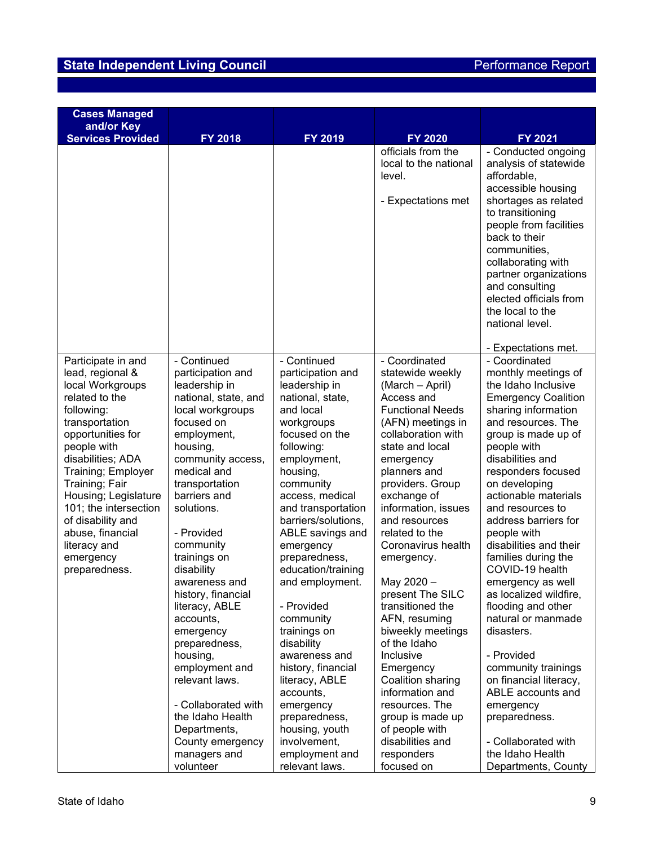| <b>Cases Managed</b><br>and/or Key                                                                                                                                                                                                                                                                                                                    |                                                                                                                                                                                                                                                                                                                                                                                                                                                                                                                                        |                                                                                                                                                                                                                                                                                                                                                                                                                                                                                                                                                      |                                                                                                                                                                                                                                                                                                                                                                                                                                                                                                                                                                                                   |                                                                                                                                                                                                                                                                                                                                                                                                                                                                                                                                                                                                                                                                      |
|-------------------------------------------------------------------------------------------------------------------------------------------------------------------------------------------------------------------------------------------------------------------------------------------------------------------------------------------------------|----------------------------------------------------------------------------------------------------------------------------------------------------------------------------------------------------------------------------------------------------------------------------------------------------------------------------------------------------------------------------------------------------------------------------------------------------------------------------------------------------------------------------------------|------------------------------------------------------------------------------------------------------------------------------------------------------------------------------------------------------------------------------------------------------------------------------------------------------------------------------------------------------------------------------------------------------------------------------------------------------------------------------------------------------------------------------------------------------|---------------------------------------------------------------------------------------------------------------------------------------------------------------------------------------------------------------------------------------------------------------------------------------------------------------------------------------------------------------------------------------------------------------------------------------------------------------------------------------------------------------------------------------------------------------------------------------------------|----------------------------------------------------------------------------------------------------------------------------------------------------------------------------------------------------------------------------------------------------------------------------------------------------------------------------------------------------------------------------------------------------------------------------------------------------------------------------------------------------------------------------------------------------------------------------------------------------------------------------------------------------------------------|
| <b>Services Provided</b>                                                                                                                                                                                                                                                                                                                              | FY 2018                                                                                                                                                                                                                                                                                                                                                                                                                                                                                                                                | FY 2019                                                                                                                                                                                                                                                                                                                                                                                                                                                                                                                                              | <b>FY 2020</b>                                                                                                                                                                                                                                                                                                                                                                                                                                                                                                                                                                                    | FY 2021                                                                                                                                                                                                                                                                                                                                                                                                                                                                                                                                                                                                                                                              |
|                                                                                                                                                                                                                                                                                                                                                       |                                                                                                                                                                                                                                                                                                                                                                                                                                                                                                                                        |                                                                                                                                                                                                                                                                                                                                                                                                                                                                                                                                                      | officials from the<br>local to the national<br>level.<br>- Expectations met                                                                                                                                                                                                                                                                                                                                                                                                                                                                                                                       | - Conducted ongoing<br>analysis of statewide<br>affordable,<br>accessible housing<br>shortages as related<br>to transitioning<br>people from facilities<br>back to their<br>communities,<br>collaborating with<br>partner organizations<br>and consulting<br>elected officials from<br>the local to the<br>national level.<br>- Expectations met.                                                                                                                                                                                                                                                                                                                    |
| Participate in and<br>lead, regional &<br>local Workgroups<br>related to the<br>following:<br>transportation<br>opportunities for<br>people with<br>disabilities; ADA<br>Training; Employer<br>Training; Fair<br>Housing; Legislature<br>101; the intersection<br>of disability and<br>abuse, financial<br>literacy and<br>emergency<br>preparedness. | - Continued<br>participation and<br>leadership in<br>national, state, and<br>local workgroups<br>focused on<br>employment,<br>housing,<br>community access,<br>medical and<br>transportation<br>barriers and<br>solutions.<br>- Provided<br>community<br>trainings on<br>disability<br>awareness and<br>history, financial<br>literacy, ABLE<br>accounts,<br>emergency<br>preparedness,<br>housing,<br>employment and<br>relevant laws.<br>- Collaborated with<br>the Idaho Health<br>Departments,<br>County emergency<br>managers and | - Continued<br>participation and<br>leadership in<br>national, state,<br>and local<br>workgroups<br>focused on the<br>following:<br>employment,<br>housing,<br>community<br>access, medical<br>and transportation<br>barriers/solutions,<br>ABLE savings and<br>emergency<br>preparedness,<br>education/training<br>and employment.<br>- Provided<br>community<br>trainings on<br>disability<br>awareness and<br>history, financial<br>literacy, ABLE<br>accounts,<br>emergency<br>preparedness,<br>housing, youth<br>involvement,<br>employment and | - Coordinated<br>statewide weekly<br>(March - April)<br>Access and<br><b>Functional Needs</b><br>(AFN) meetings in<br>collaboration with<br>state and local<br>emergency<br>planners and<br>providers. Group<br>exchange of<br>information, issues<br>and resources<br>related to the<br>Coronavirus health<br>emergency.<br>May 2020 -<br>present The SILC<br>transitioned the<br>AFN, resuming<br>biweekly meetings<br>of the Idaho<br>Inclusive<br>Emergency<br>Coalition sharing<br>information and<br>resources. The<br>group is made up<br>of people with<br>disabilities and<br>responders | - Coordinated<br>monthly meetings of<br>the Idaho Inclusive<br><b>Emergency Coalition</b><br>sharing information<br>and resources. The<br>group is made up of<br>people with<br>disabilities and<br>responders focused<br>on developing<br>actionable materials<br>and resources to<br>address barriers for<br>people with<br>disabilities and their<br>families during the<br>COVID-19 health<br>emergency as well<br>as localized wildfire,<br>flooding and other<br>natural or manmade<br>disasters.<br>- Provided<br>community trainings<br>on financial literacy,<br>ABLE accounts and<br>emergency<br>preparedness.<br>- Collaborated with<br>the Idaho Health |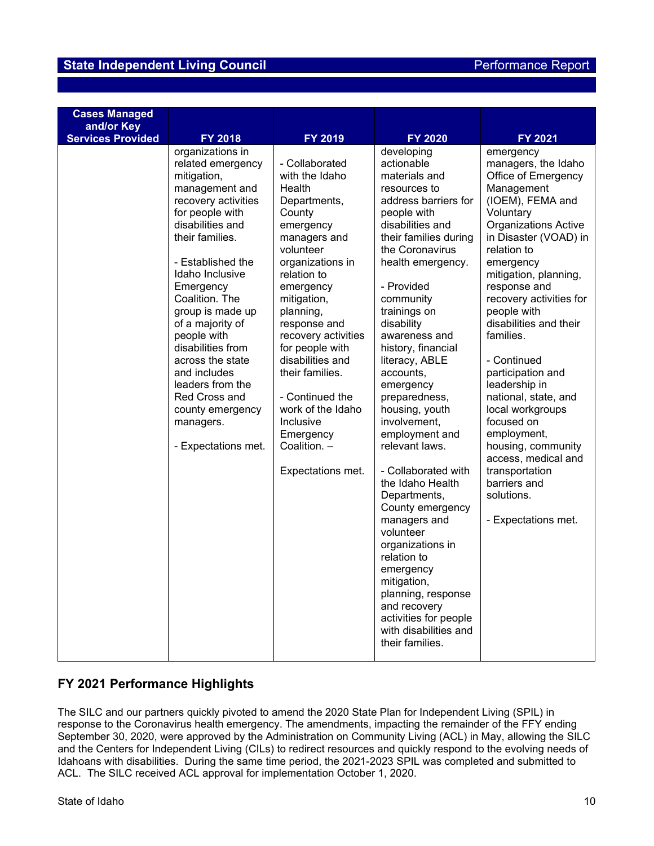## **FY 2021 Performance Highlights**

The SILC and our partners quickly pivoted to amend the 2020 State Plan for Independent Living (SPIL) in response to the Coronavirus health emergency. The amendments, impacting the remainder of the FFY ending September 30, 2020, were approved by the Administration on Community Living (ACL) in May, allowing the SILC and the Centers for Independent Living (CILs) to redirect resources and quickly respond to the evolving needs of Idahoans with disabilities. During the same time period, the 2021-2023 SPIL was completed and submitted to ACL. The SILC received ACL approval for implementation October 1, 2020.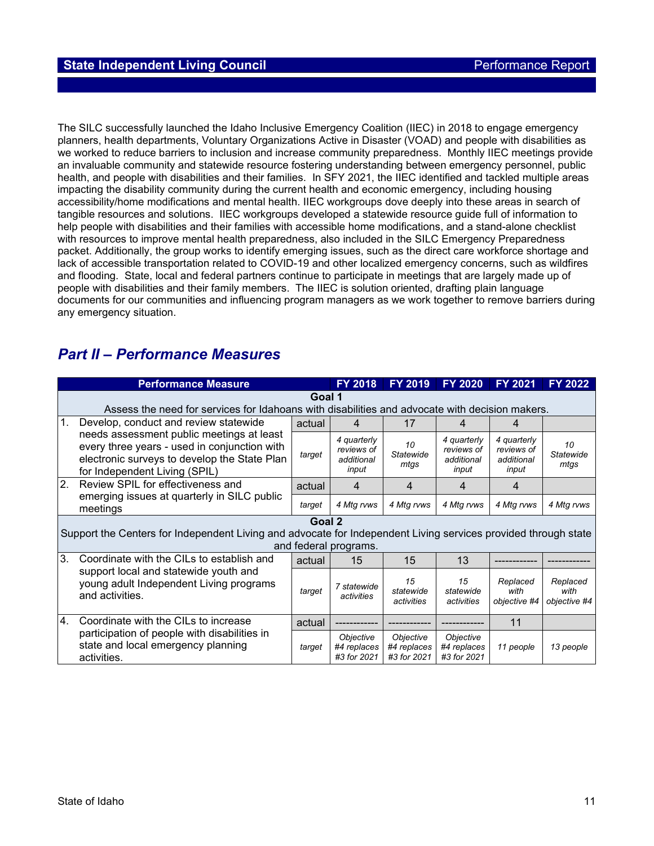The SILC successfully launched the Idaho Inclusive Emergency Coalition (IIEC) in 2018 to engage emergency planners, health departments, Voluntary Organizations Active in Disaster (VOAD) and people with disabilities as we worked to reduce barriers to inclusion and increase community preparedness. Monthly IIEC meetings provide an invaluable community and statewide resource fostering understanding between emergency personnel, public health, and people with disabilities and their families. In SFY 2021, the IIEC identified and tackled multiple areas impacting the disability community during the current health and economic emergency, including housing accessibility/home modifications and mental health. IIEC workgroups dove deeply into these areas in search of tangible resources and solutions. IIEC workgroups developed a statewide resource guide full of information to help people with disabilities and their families with accessible home modifications, and a stand-alone checklist with resources to improve mental health preparedness, also included in the SILC Emergency Preparedness packet. Additionally, the group works to identify emerging issues, such as the direct care workforce shortage and lack of accessible transportation related to COVID-19 and other localized emergency concerns, such as wildfires and flooding. State, local and federal partners continue to participate in meetings that are largely made up of people with disabilities and their family members. The IIEC is solution oriented, drafting plain language documents for our communities and influencing program managers as we work together to remove barriers during any emergency situation.

# *Part II – Performance Measures*

| <b>Performance Measure</b> |                                                                                                                                                                            |        | <b>FY 2018</b>                                   | <b>FY 2019</b>                          | <b>FY 2020</b>                                   | FY 2021                                          | <b>FY 2022</b>                   |
|----------------------------|----------------------------------------------------------------------------------------------------------------------------------------------------------------------------|--------|--------------------------------------------------|-----------------------------------------|--------------------------------------------------|--------------------------------------------------|----------------------------------|
|                            | Goal 1<br>Assess the need for services for Idahoans with disabilities and advocate with decision makers.                                                                   |        |                                                  |                                         |                                                  |                                                  |                                  |
| 1.                         | Develop, conduct and review statewide                                                                                                                                      | actual | 4                                                | 17                                      | 4                                                | 4                                                |                                  |
|                            | needs assessment public meetings at least<br>every three years - used in conjunction with<br>electronic surveys to develop the State Plan<br>for Independent Living (SPIL) | target | 4 quarterly<br>reviews of<br>additional<br>input | 10<br>Statewide<br>mtas                 | 4 quarterly<br>reviews of<br>additional<br>input | 4 quarterly<br>reviews of<br>additional<br>input | 10<br>Statewide<br>mtas          |
| 2.                         | Review SPIL for effectiveness and                                                                                                                                          | actual | 4                                                | 4                                       | 4                                                | 4                                                |                                  |
|                            | emerging issues at quarterly in SILC public<br>meetings                                                                                                                    | target | 4 Mtg rvws                                       | 4 Mtg rvws                              | 4 Mtg rvws                                       | 4 Mtg rvws                                       | 4 Mtg rvws                       |
|                            | Support the Centers for Independent Living and advocate for Independent Living services provided through state                                                             | Goal 2 | and federal programs.                            |                                         |                                                  |                                                  |                                  |
| 3 <sub>l</sub>             | Coordinate with the CILs to establish and                                                                                                                                  | actual | 15                                               | 15                                      | 13                                               |                                                  |                                  |
|                            | support local and statewide youth and<br>young adult Independent Living programs<br>and activities.                                                                        | target | 7 statewide<br>activities                        | 15<br>statewide<br>activities           | 15<br>statewide<br>activities                    | Replaced<br>with<br>objective #4                 | Replaced<br>with<br>objective #4 |
| 4.                         | Coordinate with the CILs to increase                                                                                                                                       | actual |                                                  |                                         |                                                  | 11                                               |                                  |
|                            | participation of people with disabilities in<br>state and local emergency planning<br>activities.                                                                          | target | Objective<br>#4 replaces<br>#3 for 2021          | Objective<br>#4 replaces<br>#3 for 2021 | Objective<br>#4 replaces<br>#3 for 2021          | 11 people                                        | 13 people                        |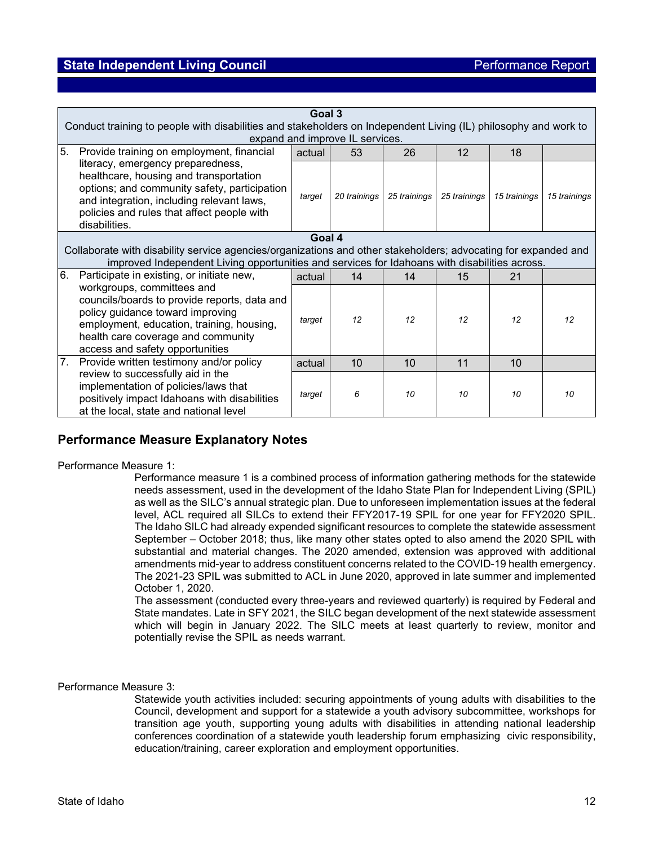|    | Goal 3<br>Conduct training to people with disabilities and stakeholders on Independent Living (IL) philosophy and work to                                                                                                               |        |              |                  |              |              |              |
|----|-----------------------------------------------------------------------------------------------------------------------------------------------------------------------------------------------------------------------------------------|--------|--------------|------------------|--------------|--------------|--------------|
|    | expand and improve IL services.                                                                                                                                                                                                         |        |              |                  |              |              |              |
| 5. | Provide training on employment, financial                                                                                                                                                                                               | actual | 53           | 26               | 12           | 18           |              |
|    | literacy, emergency preparedness,<br>healthcare, housing and transportation<br>options; and community safety, participation<br>and integration, including relevant laws,<br>policies and rules that affect people with<br>disabilities. | target | 20 trainings | 25 trainings     | 25 trainings | 15 trainings | 15 trainings |
|    | Goal 4                                                                                                                                                                                                                                  |        |              |                  |              |              |              |
|    | Collaborate with disability service agencies/organizations and other stakeholders; advocating for expanded and<br>improved Independent Living opportunities and services for Idahoans with disabilities across.                         |        |              |                  |              |              |              |
| 6. | Participate in existing, or initiate new,                                                                                                                                                                                               | actual | 14           | 14               | 15           | 21           |              |
|    | workgroups, committees and<br>councils/boards to provide reports, data and<br>policy guidance toward improving<br>employment, education, training, housing,<br>health care coverage and community<br>access and safety opportunities    | target | 12           | 12               | 12           | 12           | 12           |
| 7. | Provide written testimony and/or policy                                                                                                                                                                                                 | actual | 10           | 10               | 11           | 10           |              |
|    | review to successfully aid in the<br>implementation of policies/laws that<br>positively impact Idahoans with disabilities<br>at the local, state and national level                                                                     | target | 6            | 10 <sup>10</sup> | 10           | 10           | 10           |

## **Performance Measure Explanatory Notes**

## Performance Measure 1:

Performance measure 1 is a combined process of information gathering methods for the statewide needs assessment, used in the development of the Idaho State Plan for Independent Living (SPIL) as well as the SILC's annual strategic plan. Due to unforeseen implementation issues at the federal level, ACL required all SILCs to extend their FFY2017-19 SPIL for one year for FFY2020 SPIL. The Idaho SILC had already expended significant resources to complete the statewide assessment September – October 2018; thus, like many other states opted to also amend the 2020 SPIL with substantial and material changes. The 2020 amended, extension was approved with additional amendments mid-year to address constituent concerns related to the COVID-19 health emergency. The 2021-23 SPIL was submitted to ACL in June 2020, approved in late summer and implemented October 1, 2020.

The assessment (conducted every three-years and reviewed quarterly) is required by Federal and State mandates. Late in SFY 2021, the SILC began development of the next statewide assessment which will begin in January 2022. The SILC meets at least quarterly to review, monitor and potentially revise the SPIL as needs warrant.

## Performance Measure 3:

Statewide youth activities included: securing appointments of young adults with disabilities to the Council, development and support for a statewide a youth advisory subcommittee, workshops for transition age youth, supporting young adults with disabilities in attending national leadership conferences coordination of a statewide youth leadership forum emphasizing civic responsibility, education/training, career exploration and employment opportunities.